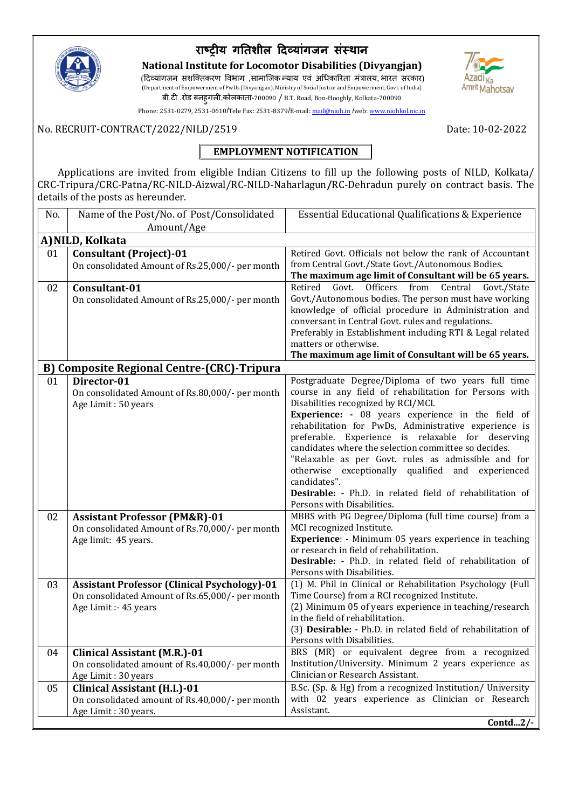

# **राष्ट्रीय गतिशील दिवयाांगजन सांस्थान**

**National Institute for Locomotor Disabilities (Divyangjan)** (दिव्यांगजन सशक्तिकरण विभाग ,सामाजिक न्याय एवं अधिकारिता मंत्रालय, भारत सरकार) (Department of Empowerment of PwDs (Divyangjan), Ministry of Social Justice and Empowerment, Govt. of India) बी.टी .रोड बनह्गली,कोलकाता-700090 / B.T. Road, Bon-Hooghly, Kolkata-700090



Phone: 2531-0279, 2531-0610/Tele Fax: 2531-8379/E-mail[: mail@nioh.in](mailto:mail@nioh.in/director@nioh.in) /web: www.niohkol.nic.in

### No. RECRUIT-CONTRACT/2022/NILD/2519Date: 10-02-2022

## **EMPLOYMENT NOTIFICATION**

 Applications are invited from eligible Indian Citizens to fill up the following posts of NILD, Kolkata/ CRC-Tripura/CRC-Patna/RC-NILD-Aizwal/RC-NILD-Naharlagun**/**RC-Dehradun purely on contract basis. The details of the posts as hereunder.

| No. | Name of the Post/No. of Post/Consolidated                                       | <b>Essential Educational Qualifications &amp; Experience</b>                                                      |
|-----|---------------------------------------------------------------------------------|-------------------------------------------------------------------------------------------------------------------|
|     | Amount/Age                                                                      |                                                                                                                   |
|     | A) NILD, Kolkata                                                                |                                                                                                                   |
| 01  | <b>Consultant (Project)-01</b>                                                  | Retired Govt. Officials not below the rank of Accountant                                                          |
|     | On consolidated Amount of Rs.25,000/- per month                                 | from Central Govt./State Govt./Autonomous Bodies.                                                                 |
|     |                                                                                 | The maximum age limit of Consultant will be 65 years.                                                             |
| 02  | Consultant-01                                                                   | Govt. Officers from<br>Retired<br>Central<br>Govt./State<br>Govt./Autonomous bodies. The person must have working |
|     | On consolidated Amount of Rs.25,000/- per month                                 | knowledge of official procedure in Administration and                                                             |
|     |                                                                                 | conversant in Central Govt. rules and regulations.                                                                |
|     |                                                                                 | Preferably in Establishment including RTI & Legal related                                                         |
|     |                                                                                 | matters or otherwise.                                                                                             |
|     |                                                                                 | The maximum age limit of Consultant will be 65 years.                                                             |
|     | B) Composite Regional Centre-(CRC)-Tripura                                      |                                                                                                                   |
| 01  | Director-01                                                                     | Postgraduate Degree/Diploma of two years full time                                                                |
|     | On consolidated Amount of Rs.80,000/- per month                                 | course in any field of rehabilitation for Persons with                                                            |
|     | Age Limit: 50 years                                                             | Disabilities recognized by RCI/MCI.<br><b>Experience:</b> - 08 years experience in the field of                   |
|     |                                                                                 | rehabilitation for PwDs, Administrative experience is                                                             |
|     |                                                                                 | preferable. Experience is relaxable for deserving                                                                 |
|     |                                                                                 | candidates where the selection committee so decides.                                                              |
|     |                                                                                 | "Relaxable as per Govt. rules as admissible and for                                                               |
|     |                                                                                 | otherwise exceptionally qualified and experienced                                                                 |
|     |                                                                                 | candidates".<br>Desirable: - Ph.D. in related field of rehabilitation of                                          |
|     |                                                                                 | Persons with Disabilities.                                                                                        |
| 02  | <b>Assistant Professor (PM&amp;R)-01</b>                                        | MBBS with PG Degree/Diploma (full time course) from a                                                             |
|     | On consolidated Amount of Rs.70,000/- per month                                 | MCI recognized Institute.                                                                                         |
|     | Age limit: 45 years.                                                            | <b>Experience</b> : - Minimum 05 years experience in teaching                                                     |
|     |                                                                                 | or research in field of rehabilitation.                                                                           |
|     |                                                                                 | Desirable: - Ph.D. in related field of rehabilitation of<br>Persons with Disabilities.                            |
| 03  | <b>Assistant Professor (Clinical Psychology)-01</b>                             | (1) M. Phil in Clinical or Rehabilitation Psychology (Full                                                        |
|     | On consolidated Amount of Rs.65,000/- per month                                 | Time Course) from a RCI recognized Institute.                                                                     |
|     | Age Limit :- 45 years                                                           | (2) Minimum 05 of years experience in teaching/research                                                           |
|     |                                                                                 | in the field of rehabilitation.                                                                                   |
|     |                                                                                 | (3) Desirable: - Ph.D. in related field of rehabilitation of                                                      |
|     |                                                                                 | Persons with Disabilities.                                                                                        |
| 04  | <b>Clinical Assistant (M.R.)-01</b>                                             | BRS (MR) or equivalent degree from a recognized                                                                   |
|     | On consolidated amount of Rs.40,000/- per month                                 | Institution/University. Minimum 2 years experience as<br>Clinician or Research Assistant.                         |
| 05  | Age Limit: 30 years                                                             | B.Sc. (Sp. & Hg) from a recognized Institution/ University                                                        |
|     | Clinical Assistant (H.I.)-01<br>On consolidated amount of Rs.40,000/- per month | with 02 years experience as Clinician or Research                                                                 |
|     | Age Limit: 30 years.                                                            | Assistant.                                                                                                        |
|     |                                                                                 | Contd $2/-$                                                                                                       |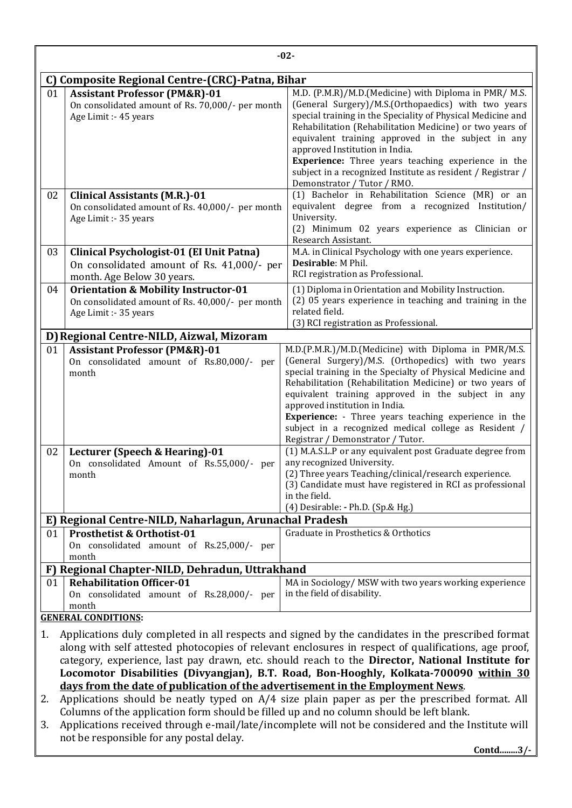|    |                                                                                                                              | $-02-$                                                                                                                                                                                                                                                                                                                                                                                                                                                                                     |  |  |  |  |
|----|------------------------------------------------------------------------------------------------------------------------------|--------------------------------------------------------------------------------------------------------------------------------------------------------------------------------------------------------------------------------------------------------------------------------------------------------------------------------------------------------------------------------------------------------------------------------------------------------------------------------------------|--|--|--|--|
|    | C) Composite Regional Centre-(CRC)-Patna, Bihar                                                                              |                                                                                                                                                                                                                                                                                                                                                                                                                                                                                            |  |  |  |  |
| 01 | <b>Assistant Professor (PM&amp;R)-01</b><br>On consolidated amount of Rs. 70,000/- per month<br>Age Limit :- 45 years        | M.D. (P.M.R)/M.D. (Medicine) with Diploma in PMR/M.S.<br>(General Surgery)/M.S.(Orthopaedics) with two years<br>special training in the Speciality of Physical Medicine and<br>Rehabilitation (Rehabilitation Medicine) or two years of<br>equivalent training approved in the subject in any<br>approved Institution in India.<br>Experience: Three years teaching experience in the<br>subject in a recognized Institute as resident / Registrar /                                       |  |  |  |  |
| 02 | <b>Clinical Assistants (M.R.)-01</b><br>On consolidated amount of Rs. 40,000/- per month<br>Age Limit :- 35 years            | Demonstrator / Tutor / RMO.<br>(1) Bachelor in Rehabilitation Science (MR) or an<br>equivalent degree from a recognized Institution/<br>University.<br>(2) Minimum 02 years experience as Clinician or<br>Research Assistant.                                                                                                                                                                                                                                                              |  |  |  |  |
| 03 | Clinical Psychologist-01 (EI Unit Patna)<br>On consolidated amount of Rs. 41,000/- per<br>month. Age Below 30 years.         | M.A. in Clinical Psychology with one years experience.<br>Desirable: M Phil.<br>RCI registration as Professional.                                                                                                                                                                                                                                                                                                                                                                          |  |  |  |  |
| 04 | <b>Orientation &amp; Mobility Instructor-01</b><br>On consolidated amount of Rs. 40,000/- per month<br>Age Limit :- 35 years | (1) Diploma in Orientation and Mobility Instruction.<br>(2) 05 years experience in teaching and training in the<br>related field.<br>(3) RCI registration as Professional.                                                                                                                                                                                                                                                                                                                 |  |  |  |  |
|    | D) Regional Centre-NILD, Aizwal, Mizoram                                                                                     |                                                                                                                                                                                                                                                                                                                                                                                                                                                                                            |  |  |  |  |
| 01 | <b>Assistant Professor (PM&amp;R)-01</b><br>On consolidated amount of Rs.80,000/- per<br>month                               | M.D.(P.M.R.)/M.D.(Medicine) with Diploma in PMR/M.S.<br>(General Surgery)/M.S. (Orthopedics) with two years<br>special training in the Specialty of Physical Medicine and<br>Rehabilitation (Rehabilitation Medicine) or two years of<br>equivalent training approved in the subject in any<br>approved institution in India.<br><b>Experience:</b> - Three years teaching experience in the<br>subject in a recognized medical college as Resident /<br>Registrar / Demonstrator / Tutor. |  |  |  |  |
| 02 | Lecturer (Speech & Hearing)-01<br>On consolidated Amount of Rs.55,000/- per<br>month                                         | (1) M.A.S.L.P or any equivalent post Graduate degree from<br>any recognized University.<br>(2) Three years Teaching/clinical/research experience.<br>(3) Candidate must have registered in RCI as professional<br>in the field.<br>(4) Desirable: - Ph.D. (Sp.& Hg.)                                                                                                                                                                                                                       |  |  |  |  |
|    | E) Regional Centre-NILD, Naharlagun, Arunachal Pradesh                                                                       |                                                                                                                                                                                                                                                                                                                                                                                                                                                                                            |  |  |  |  |
| 01 | <b>Prosthetist &amp; Orthotist-01</b><br>On consolidated amount of Rs.25,000/- per<br>month                                  | Graduate in Prosthetics & Orthotics                                                                                                                                                                                                                                                                                                                                                                                                                                                        |  |  |  |  |
|    | F) Regional Chapter-NILD, Dehradun, Uttrakhand                                                                               |                                                                                                                                                                                                                                                                                                                                                                                                                                                                                            |  |  |  |  |
| 01 | <b>Rehabilitation Officer-01</b><br>On consolidated amount of Rs.28,000/- per<br>month                                       | MA in Sociology/ MSW with two years working experience<br>in the field of disability.                                                                                                                                                                                                                                                                                                                                                                                                      |  |  |  |  |
|    | <b>GENERAL CONDITIONS:</b>                                                                                                   |                                                                                                                                                                                                                                                                                                                                                                                                                                                                                            |  |  |  |  |
| 1. |                                                                                                                              | Applications duly completed in all respects and signed by the candidates in the prescribed format<br>along with self attested photocopies of relevant enclosures in respect of qualifications, age proof,<br>category, experience, last pay drawn, etc. should reach to the Director, National Institute for                                                                                                                                                                               |  |  |  |  |

**days from the date of publication of the advertisement in the Employment News**. 2. Applications should be neatly typed on A/4 size plain paper as per the prescribed format. All Columns of the application form should be filled up and no column should be left blank.

**Locomotor Disabilities (Divyangjan), B.T. Road, Bon-Hooghly, Kolkata-700090 within 30** 

3. Applications received through e-mail/late/incomplete will not be considered and the Institute will not be responsible for any postal delay.

**Contd........3/-**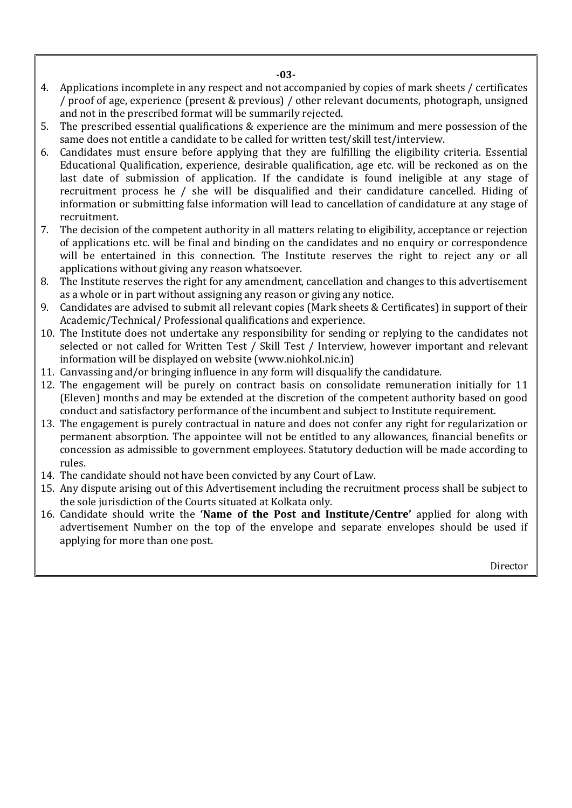- **-03-**
- 4. Applications incomplete in any respect and not accompanied by copies of mark sheets / certificates / proof of age, experience (present & previous) / other relevant documents, photograph, unsigned and not in the prescribed format will be summarily rejected.
- 5. The prescribed essential qualifications & experience are the minimum and mere possession of the same does not entitle a candidate to be called for written test/skill test/interview.
- 6. Candidates must ensure before applying that they are fulfilling the eligibility criteria. Essential Educational Qualification, experience, desirable qualification, age etc. will be reckoned as on the last date of submission of application. If the candidate is found ineligible at any stage of recruitment process he / she will be disqualified and their candidature cancelled. Hiding of information or submitting false information will lead to cancellation of candidature at any stage of recruitment.
- 7. The decision of the competent authority in all matters relating to eligibility, acceptance or rejection of applications etc. will be final and binding on the candidates and no enquiry or correspondence will be entertained in this connection. The Institute reserves the right to reject any or all applications without giving any reason whatsoever.
- 8. The Institute reserves the right for any amendment, cancellation and changes to this advertisement as a whole or in part without assigning any reason or giving any notice.
- 9. Candidates are advised to submit all relevant copies (Mark sheets & Certificates) in support of their Academic/Technical/ Professional qualifications and experience.
- 10. The Institute does not undertake any responsibility for sending or replying to the candidates not selected or not called for Written Test / Skill Test / Interview, however important and relevant information will be displayed on website (www.niohkol.nic.in)
- 11. Canvassing and/or bringing influence in any form will disqualify the candidature.
- 12. The engagement will be purely on contract basis on consolidate remuneration initially for 11 (Eleven) months and may be extended at the discretion of the competent authority based on good conduct and satisfactory performance of the incumbent and subject to Institute requirement.
- 13. The engagement is purely contractual in nature and does not confer any right for regularization or permanent absorption. The appointee will not be entitled to any allowances, financial benefits or concession as admissible to government employees. Statutory deduction will be made according to rules.
- 14. The candidate should not have been convicted by any Court of Law.
- 15. Any dispute arising out of this Advertisement including the recruitment process shall be subject to the sole jurisdiction of the Courts situated at Kolkata only.
- 16. Candidate should write the **'Name of the Post and Institute/Centre'** applied for along with advertisement Number on the top of the envelope and separate envelopes should be used if applying for more than one post.

Director